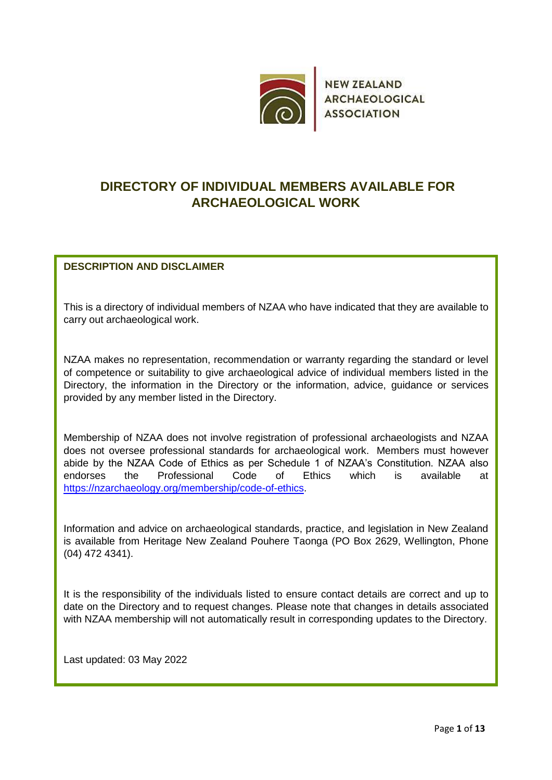

**NEW ZEALAND ARCHAEOLOGICAL ASSOCIATION** 

## **DIRECTORY OF INDIVIDUAL MEMBERS AVAILABLE FOR ARCHAEOLOGICAL WORK**

## **DESCRIPTION AND DISCLAIMER**

This is a directory of individual members of NZAA who have indicated that they are available to carry out archaeological work.

NZAA makes no representation, recommendation or warranty regarding the standard or level of competence or suitability to give archaeological advice of individual members listed in the Directory, the information in the Directory or the information, advice, guidance or services provided by any member listed in the Directory.

Membership of NZAA does not involve registration of professional archaeologists and NZAA does not oversee professional standards for archaeological work. Members must however abide by the NZAA Code of Ethics as per Schedule 1 of NZAA's Constitution. NZAA also endorses the Professional Code of Ethics which is available at [https://nzarchaeology.org/membership/code-of-ethics.](https://nzarchaeology.org/membership/code-of-ethics)

Information and advice on archaeological standards, practice, and legislation in New Zealand is available from Heritage New Zealand Pouhere Taonga (PO Box 2629, Wellington, Phone (04) 472 4341).

It is the responsibility of the individuals listed to ensure contact details are correct and up to date on the Directory and to request changes. Please note that changes in details associated with NZAA membership will not automatically result in corresponding updates to the Directory.

Last updated: 03 May 2022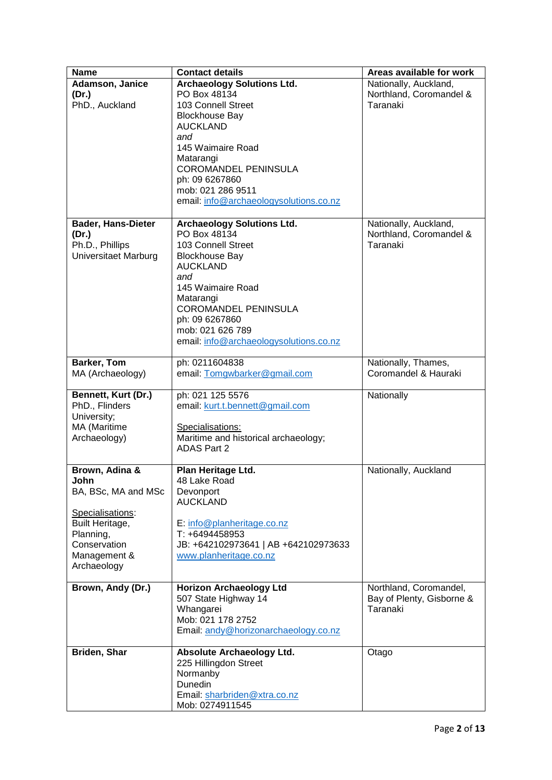| <b>Name</b>                                                                                                                                       | <b>Contact details</b>                                                                                                                                                                                                                                                       | Areas available for work                                        |
|---------------------------------------------------------------------------------------------------------------------------------------------------|------------------------------------------------------------------------------------------------------------------------------------------------------------------------------------------------------------------------------------------------------------------------------|-----------------------------------------------------------------|
| Adamson, Janice<br>(Dr.)<br>PhD., Auckland                                                                                                        | <b>Archaeology Solutions Ltd.</b><br>PO Box 48134<br>103 Connell Street<br><b>Blockhouse Bay</b><br><b>AUCKLAND</b><br>and<br>145 Waimaire Road<br>Matarangi<br><b>COROMANDEL PENINSULA</b><br>ph: 09 6267860<br>mob: 021 286 9511<br>email: info@archaeologysolutions.co.nz | Nationally, Auckland,<br>Northland, Coromandel &<br>Taranaki    |
| <b>Bader, Hans-Dieter</b><br>(Dr.)<br>Ph.D., Phillips<br>Universitaet Marburg                                                                     | <b>Archaeology Solutions Ltd.</b><br>PO Box 48134<br>103 Connell Street<br><b>Blockhouse Bay</b><br><b>AUCKLAND</b><br>and<br>145 Waimaire Road<br>Matarangi<br>COROMANDEL PENINSULA<br>ph: 09 6267860<br>mob: 021 626 789<br>email: info@archaeologysolutions.co.nz         | Nationally, Auckland,<br>Northland, Coromandel &<br>Taranaki    |
| <b>Barker, Tom</b><br>MA (Archaeology)                                                                                                            | ph: 0211604838<br>email: Tomgwbarker@gmail.com                                                                                                                                                                                                                               | Nationally, Thames,<br>Coromandel & Hauraki                     |
| Bennett, Kurt (Dr.)<br>PhD., Flinders<br>University;<br>MA (Maritime<br>Archaeology)                                                              | ph: 021 125 5576<br>email: kurt.t.bennett@gmail.com<br>Specialisations:<br>Maritime and historical archaeology;<br><b>ADAS Part 2</b>                                                                                                                                        | Nationally                                                      |
| Brown, Adina &<br>lohn.<br>BA, BSc, MA and MSc<br>Specialisations:<br>Built Heritage,<br>Planning,<br>Conservation<br>Management &<br>Archaeology | Plan Heritage Ltd.<br>48 Lake Road<br>Devonport<br><b>AUCKLAND</b><br>E: info@planheritage.co.nz<br>T: +6494458953<br>JB: +642102973641   AB +642102973633<br>www.planheritage.co.nz                                                                                         | Nationally, Auckland                                            |
| Brown, Andy (Dr.)                                                                                                                                 | <b>Horizon Archaeology Ltd</b><br>507 State Highway 14<br>Whangarei<br>Mob: 021 178 2752<br>Email: andy@horizonarchaeology.co.nz                                                                                                                                             | Northland, Coromandel,<br>Bay of Plenty, Gisborne &<br>Taranaki |
| Briden, Shar                                                                                                                                      | Absolute Archaeology Ltd.<br>225 Hillingdon Street<br>Normanby<br>Dunedin<br>Email: sharbriden@xtra.co.nz<br>Mob: 0274911545                                                                                                                                                 | Otago                                                           |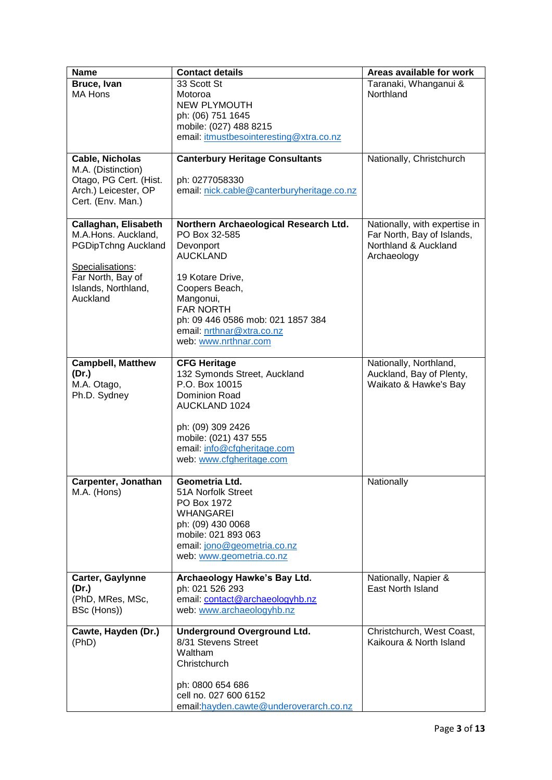| <b>Name</b>                                                                                                                                           | <b>Contact details</b>                                                                                                                                                                                                                                  | Areas available for work                                                                           |
|-------------------------------------------------------------------------------------------------------------------------------------------------------|---------------------------------------------------------------------------------------------------------------------------------------------------------------------------------------------------------------------------------------------------------|----------------------------------------------------------------------------------------------------|
| Bruce, Ivan<br><b>MA Hons</b>                                                                                                                         | 33 Scott St<br>Motoroa<br><b>NEW PLYMOUTH</b><br>ph: (06) 751 1645<br>mobile: (027) 488 8215<br>email: itmustbesointeresting@xtra.co.nz                                                                                                                 | Taranaki, Whanganui &<br>Northland                                                                 |
| Cable, Nicholas<br>M.A. (Distinction)<br>Otago, PG Cert. (Hist.<br>Arch.) Leicester, OP<br>Cert. (Env. Man.)                                          | <b>Canterbury Heritage Consultants</b><br>ph: 0277058330<br>email: nick.cable@canterburyheritage.co.nz                                                                                                                                                  | Nationally, Christchurch                                                                           |
| Callaghan, Elisabeth<br>M.A.Hons. Auckland,<br><b>PGDipTchng Auckland</b><br>Specialisations:<br>Far North, Bay of<br>Islands, Northland,<br>Auckland | Northern Archaeological Research Ltd.<br>PO Box 32-585<br>Devonport<br><b>AUCKLAND</b><br>19 Kotare Drive,<br>Coopers Beach,<br>Mangonui,<br><b>FAR NORTH</b><br>ph: 09 446 0586 mob: 021 1857 384<br>email: nrthnar@xtra.co.nz<br>web: www.nrthnar.com | Nationally, with expertise in<br>Far North, Bay of Islands,<br>Northland & Auckland<br>Archaeology |
| <b>Campbell, Matthew</b><br>(Dr.)<br>M.A. Otago,<br>Ph.D. Sydney                                                                                      | <b>CFG Heritage</b><br>132 Symonds Street, Auckland<br>P.O. Box 10015<br>Dominion Road<br><b>AUCKLAND 1024</b><br>ph: (09) 309 2426<br>mobile: (021) 437 555<br>email: info@cfgheritage.com<br>web: www.cfgheritage.com                                 | Nationally, Northland,<br>Auckland, Bay of Plenty,<br>Waikato & Hawke's Bay                        |
| Carpenter, Jonathan<br>M.A. (Hons)                                                                                                                    | Geometria Ltd.<br>51A Norfolk Street<br>PO Box 1972<br><b>WHANGAREI</b><br>ph: (09) 430 0068<br>mobile: 021 893 063<br>email: jono@geometria.co.nz<br>web: www.geometria.co.nz                                                                          | Nationally                                                                                         |
| Carter, Gaylynne<br>(Dr.)<br>(PhD, MRes, MSc,<br>BSc (Hons))                                                                                          | Archaeology Hawke's Bay Ltd.<br>ph: 021 526 293<br>email: contact@archaeologyhb.nz<br>web: www.archaeologyhb.nz                                                                                                                                         | Nationally, Napier &<br>East North Island                                                          |
| Cawte, Hayden (Dr.)<br>(PhD)                                                                                                                          | <b>Underground Overground Ltd.</b><br>8/31 Stevens Street<br>Waltham<br>Christchurch<br>ph: 0800 654 686<br>cell no. 027 600 6152<br>email: hayden.cawte@underoverarch.co.nz                                                                            | Christchurch, West Coast,<br>Kaikoura & North Island                                               |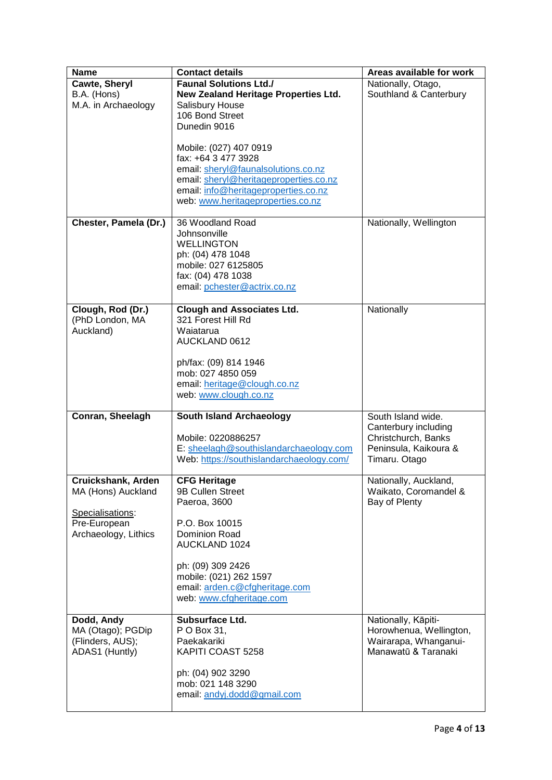| <b>Name</b>                      | <b>Contact details</b>                                       | Areas available for work                     |
|----------------------------------|--------------------------------------------------------------|----------------------------------------------|
| Cawte, Sheryl                    | <b>Faunal Solutions Ltd./</b>                                | Nationally, Otago,                           |
| B.A. (Hons)                      | <b>New Zealand Heritage Properties Ltd.</b>                  | Southland & Canterbury                       |
| M.A. in Archaeology              | Salisbury House                                              |                                              |
|                                  | 106 Bond Street                                              |                                              |
|                                  | Dunedin 9016                                                 |                                              |
|                                  | Mobile: (027) 407 0919                                       |                                              |
|                                  | fax: +64 3 477 3928                                          |                                              |
|                                  | email: sheryl@faunalsolutions.co.nz                          |                                              |
|                                  | email: sheryl@heritageproperties.co.nz                       |                                              |
|                                  | email: info@heritageproperties.co.nz                         |                                              |
|                                  | web: www.heritageproperties.co.nz                            |                                              |
| Chester, Pamela (Dr.)            | 36 Woodland Road                                             | Nationally, Wellington                       |
|                                  | Johnsonville                                                 |                                              |
|                                  | <b>WELLINGTON</b>                                            |                                              |
|                                  | ph: (04) 478 1048                                            |                                              |
|                                  | mobile: 027 6125805                                          |                                              |
|                                  | fax: (04) 478 1038                                           |                                              |
|                                  | email: pchester@actrix.co.nz                                 |                                              |
| Clough, Rod (Dr.)                | <b>Clough and Associates Ltd.</b>                            | Nationally                                   |
| (PhD London, MA                  | 321 Forest Hill Rd                                           |                                              |
| Auckland)                        | Waiatarua                                                    |                                              |
|                                  | <b>AUCKLAND 0612</b>                                         |                                              |
|                                  |                                                              |                                              |
|                                  | ph/fax: (09) 814 1946                                        |                                              |
|                                  | mob: 027 4850 059<br>email: heritage@clough.co.nz            |                                              |
|                                  | web: www.clough.co.nz                                        |                                              |
|                                  |                                                              |                                              |
| Conran, Sheelagh                 | <b>South Island Archaeology</b>                              | South Island wide.                           |
|                                  |                                                              | Canterbury including                         |
|                                  | Mobile: 0220886257<br>E: sheelagh@southislandarchaeology.com | Christchurch, Banks<br>Peninsula, Kaikoura & |
|                                  | Web: https://southislandarchaeology.com/                     | Timaru. Otago                                |
|                                  |                                                              |                                              |
| Cruickshank, Arden               | <b>CFG Heritage</b>                                          | Nationally, Auckland,                        |
| MA (Hons) Auckland               | 9B Cullen Street                                             | Waikato, Coromandel &                        |
|                                  | Paeroa, 3600                                                 | Bay of Plenty                                |
| Specialisations:<br>Pre-European | P.O. Box 10015                                               |                                              |
| Archaeology, Lithics             | Dominion Road                                                |                                              |
|                                  | <b>AUCKLAND 1024</b>                                         |                                              |
|                                  |                                                              |                                              |
|                                  | ph: (09) 309 2426                                            |                                              |
|                                  | mobile: (021) 262 1597                                       |                                              |
|                                  | email: arden.c@cfgheritage.com<br>web: www.cfgheritage.com   |                                              |
|                                  |                                                              |                                              |
| Dodd, Andy                       | Subsurface Ltd.                                              | Nationally, Kāpiti-                          |
| MA (Otago); PGDip                | P O Box 31,                                                  | Horowhenua, Wellington,                      |
| (Flinders, AUS);                 | Paekakariki                                                  | Wairarapa, Whanganui-                        |
| ADAS1 (Huntly)                   | KAPITI COAST 5258                                            | Manawatū & Taranaki                          |
|                                  | ph: (04) 902 3290                                            |                                              |
|                                  | mob: 021 148 3290                                            |                                              |
|                                  | email: andyj.dodd@gmail.com                                  |                                              |
|                                  |                                                              |                                              |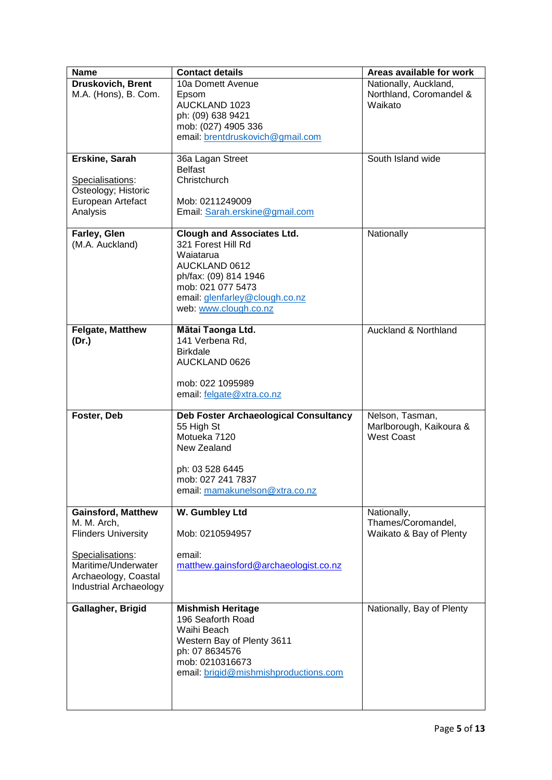| <b>Name</b>                   | <b>Contact details</b>                       | Areas available for work  |
|-------------------------------|----------------------------------------------|---------------------------|
| Druskovich, Brent             | 10a Domett Avenue                            | Nationally, Auckland,     |
| M.A. (Hons), B. Com.          | Epsom                                        | Northland, Coromandel &   |
|                               | AUCKLAND 1023                                | Waikato                   |
|                               | ph: (09) 638 9421                            |                           |
|                               | mob: (027) 4905 336                          |                           |
|                               | email: brentdruskovich@gmail.com             |                           |
|                               |                                              |                           |
| Erskine, Sarah                | 36a Lagan Street                             | South Island wide         |
|                               | <b>Belfast</b>                               |                           |
| Specialisations:              | Christchurch                                 |                           |
| Osteology; Historic           |                                              |                           |
| European Artefact             | Mob: 0211249009                              |                           |
| Analysis                      | Email: Sarah.erskine@gmail.com               |                           |
|                               |                                              |                           |
| Farley, Glen                  | <b>Clough and Associates Ltd.</b>            | Nationally                |
| (M.A. Auckland)               | 321 Forest Hill Rd                           |                           |
|                               | Waiatarua                                    |                           |
|                               | <b>AUCKLAND 0612</b>                         |                           |
|                               | ph/fax: (09) 814 1946                        |                           |
|                               | mob: 021 077 5473                            |                           |
|                               | email: glenfarley@clough.co.nz               |                           |
|                               | web: www.clough.co.nz                        |                           |
| Felgate, Matthew              | Mātai Taonga Ltd.                            | Auckland & Northland      |
| (Dr.)                         | 141 Verbena Rd,                              |                           |
|                               | <b>Birkdale</b>                              |                           |
|                               | AUCKLAND 0626                                |                           |
|                               |                                              |                           |
|                               | mob: 022 1095989                             |                           |
|                               | email: felgate@xtra.co.nz                    |                           |
|                               |                                              |                           |
| Foster, Deb                   | <b>Deb Foster Archaeological Consultancy</b> | Nelson, Tasman,           |
|                               | 55 High St                                   | Marlborough, Kaikoura &   |
|                               | Motueka 7120                                 | <b>West Coast</b>         |
|                               | New Zealand                                  |                           |
|                               |                                              |                           |
|                               | ph: 03 528 6445                              |                           |
|                               | mob: 027 241 7837                            |                           |
|                               | email: mamakunelson@xtra.co.nz               |                           |
| <b>Gainsford, Matthew</b>     | W. Gumbley Ltd                               | Nationally,               |
| M. M. Arch,                   |                                              | Thames/Coromandel,        |
| <b>Flinders University</b>    | Mob: 0210594957                              | Waikato & Bay of Plenty   |
|                               |                                              |                           |
| Specialisations:              | email:                                       |                           |
| Maritime/Underwater           | matthew.gainsford@archaeologist.co.nz        |                           |
| Archaeology, Coastal          |                                              |                           |
| <b>Industrial Archaeology</b> |                                              |                           |
|                               |                                              |                           |
| Gallagher, Brigid             | <b>Mishmish Heritage</b>                     | Nationally, Bay of Plenty |
|                               | 196 Seaforth Road                            |                           |
|                               | Waihi Beach                                  |                           |
|                               | Western Bay of Plenty 3611                   |                           |
|                               | ph: 07 8634576                               |                           |
|                               | mob: 0210316673                              |                           |
|                               | email: brigid@mishmishproductions.com        |                           |
|                               |                                              |                           |
|                               |                                              |                           |
|                               |                                              |                           |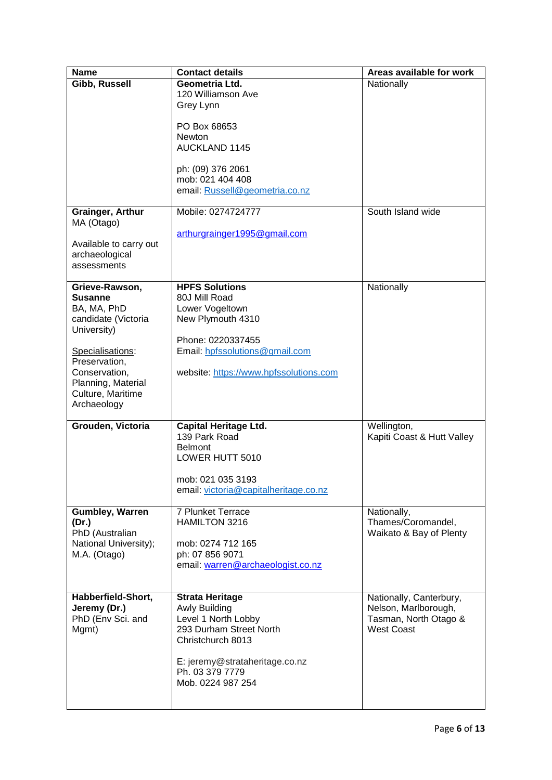| <b>Name</b>                              | <b>Contact details</b>                              | Areas available for work   |
|------------------------------------------|-----------------------------------------------------|----------------------------|
| Gibb, Russell                            | Geometria Ltd.                                      | Nationally                 |
|                                          | 120 Williamson Ave                                  |                            |
|                                          | Grey Lynn                                           |                            |
|                                          |                                                     |                            |
|                                          | PO Box 68653                                        |                            |
|                                          | Newton<br><b>AUCKLAND 1145</b>                      |                            |
|                                          |                                                     |                            |
|                                          | ph: (09) 376 2061                                   |                            |
|                                          | mob: 021 404 408                                    |                            |
|                                          | email: Russell@geometria.co.nz                      |                            |
|                                          |                                                     |                            |
| <b>Grainger, Arthur</b>                  | Mobile: 0274724777                                  | South Island wide          |
| MA (Otago)                               |                                                     |                            |
|                                          | arthurgrainger1995@gmail.com                        |                            |
| Available to carry out<br>archaeological |                                                     |                            |
| assessments                              |                                                     |                            |
|                                          |                                                     |                            |
| Grieve-Rawson,                           | <b>HPFS Solutions</b>                               | Nationally                 |
| <b>Susanne</b>                           | 80J Mill Road                                       |                            |
| BA, MA, PhD                              | Lower Vogeltown                                     |                            |
| candidate (Victoria                      | New Plymouth 4310                                   |                            |
| University)                              |                                                     |                            |
|                                          | Phone: 0220337455<br>Email: hpfssolutions@gmail.com |                            |
| Specialisations:<br>Preservation,        |                                                     |                            |
| Conservation,                            | website: https://www.hpfssolutions.com              |                            |
| Planning, Material                       |                                                     |                            |
| Culture, Maritime                        |                                                     |                            |
| Archaeology                              |                                                     |                            |
|                                          |                                                     |                            |
| Grouden, Victoria                        | <b>Capital Heritage Ltd.</b>                        | Wellington,                |
|                                          | 139 Park Road<br><b>Belmont</b>                     | Kapiti Coast & Hutt Valley |
|                                          | LOWER HUTT 5010                                     |                            |
|                                          |                                                     |                            |
|                                          | mob: 021 035 3193                                   |                            |
|                                          | email: victoria@capitalheritage.co.nz               |                            |
|                                          |                                                     |                            |
| <b>Gumbley, Warren</b>                   | 7 Plunket Terrace                                   | Nationally,                |
| (Dr.)                                    | HAMILTON 3216                                       | Thames/Coromandel,         |
| PhD (Australian                          | mob: 0274 712 165                                   | Waikato & Bay of Plenty    |
| National University);<br>M.A. (Otago)    | ph: 07 856 9071                                     |                            |
|                                          | email: warren@archaeologist.co.nz                   |                            |
|                                          |                                                     |                            |
|                                          |                                                     |                            |
| Habberfield-Short,                       | <b>Strata Heritage</b>                              | Nationally, Canterbury,    |
| Jeremy (Dr.)                             | <b>Awly Building</b>                                | Nelson, Marlborough,       |
| PhD (Env Sci. and                        | Level 1 North Lobby                                 | Tasman, North Otago &      |
| Mgmt)                                    | 293 Durham Street North                             | <b>West Coast</b>          |
|                                          | Christchurch 8013                                   |                            |
|                                          | E: jeremy@strataheritage.co.nz                      |                            |
|                                          | Ph. 03 379 7779                                     |                            |
|                                          | Mob. 0224 987 254                                   |                            |
|                                          |                                                     |                            |
|                                          |                                                     |                            |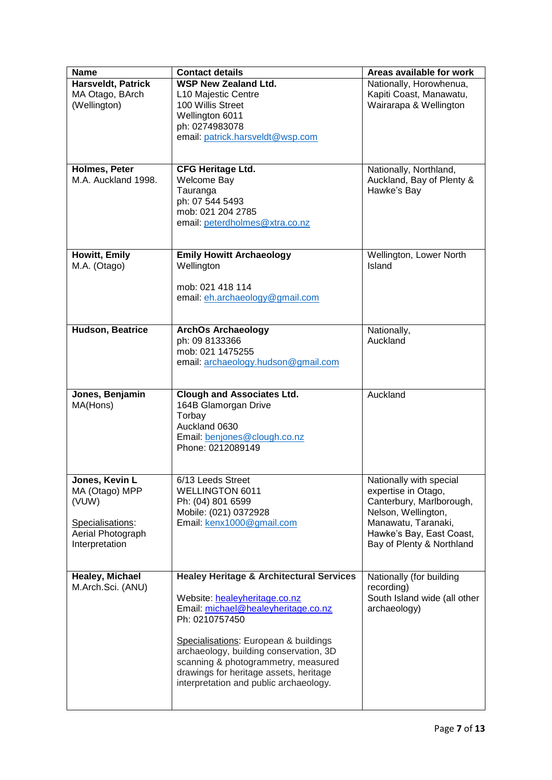| <b>Name</b>                                                                                          | <b>Contact details</b>                                                                                                                                                                                                                                                                                                                                      | Areas available for work                                                                                                                                                          |
|------------------------------------------------------------------------------------------------------|-------------------------------------------------------------------------------------------------------------------------------------------------------------------------------------------------------------------------------------------------------------------------------------------------------------------------------------------------------------|-----------------------------------------------------------------------------------------------------------------------------------------------------------------------------------|
| Harsveldt, Patrick<br>MA Otago, BArch<br>(Wellington)                                                | <b>WSP New Zealand Ltd.</b><br>L10 Majestic Centre<br>100 Willis Street<br>Wellington 6011<br>ph: 0274983078<br>email: patrick.harsveldt@wsp.com                                                                                                                                                                                                            | Nationally, Horowhenua,<br>Kapiti Coast, Manawatu,<br>Wairarapa & Wellington                                                                                                      |
| Holmes, Peter<br>M.A. Auckland 1998.                                                                 | <b>CFG Heritage Ltd.</b><br>Welcome Bay<br>Tauranga<br>ph: 07 544 5493<br>mob: 021 204 2785<br>email: peterdholmes@xtra.co.nz                                                                                                                                                                                                                               | Nationally, Northland,<br>Auckland, Bay of Plenty &<br>Hawke's Bay                                                                                                                |
| Howitt, Emily<br>M.A. (Otago)                                                                        | <b>Emily Howitt Archaeology</b><br>Wellington<br>mob: 021 418 114<br>email: eh.archaeology@gmail.com                                                                                                                                                                                                                                                        | Wellington, Lower North<br>Island                                                                                                                                                 |
| Hudson, Beatrice                                                                                     | <b>ArchOs Archaeology</b><br>ph: 09 8133366<br>mob: 021 1475255<br>email: archaeology.hudson@gmail.com                                                                                                                                                                                                                                                      | Nationally,<br>Auckland                                                                                                                                                           |
| Jones, Benjamin<br>MA(Hons)                                                                          | <b>Clough and Associates Ltd.</b><br>164B Glamorgan Drive<br>Torbay<br>Auckland 0630<br>Email: benjones@clough.co.nz<br>Phone: 0212089149                                                                                                                                                                                                                   | Auckland                                                                                                                                                                          |
| Jones, Kevin L<br>MA (Otago) MPP<br>(VUW)<br>Specialisations:<br>Aerial Photograph<br>Interpretation | 6/13 Leeds Street<br><b>WELLINGTON 6011</b><br>Ph: (04) 801 6599<br>Mobile: (021) 0372928<br>Email: kenx1000@gmail.com                                                                                                                                                                                                                                      | Nationally with special<br>expertise in Otago,<br>Canterbury, Marlborough,<br>Nelson, Wellington,<br>Manawatu, Taranaki,<br>Hawke's Bay, East Coast,<br>Bay of Plenty & Northland |
| Healey, Michael<br>M.Arch.Sci. (ANU)                                                                 | <b>Healey Heritage &amp; Architectural Services</b><br>Website: healeyheritage.co.nz<br>Email: michael@healeyheritage.co.nz<br>Ph: 0210757450<br>Specialisations: European & buildings<br>archaeology, building conservation, 3D<br>scanning & photogrammetry, measured<br>drawings for heritage assets, heritage<br>interpretation and public archaeology. | Nationally (for building<br>recording)<br>South Island wide (all other<br>archaeology)                                                                                            |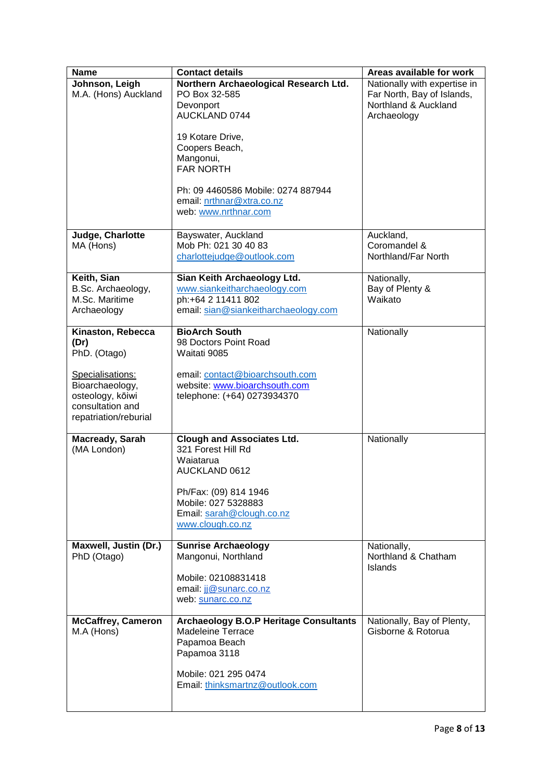| <b>Name</b>                                                                                          | <b>Contact details</b>                                                                                                                | Areas available for work                                                                          |
|------------------------------------------------------------------------------------------------------|---------------------------------------------------------------------------------------------------------------------------------------|---------------------------------------------------------------------------------------------------|
| Johnson, Leigh<br>M.A. (Hons) Auckland                                                               | Northern Archaeological Research Ltd.<br>PO Box 32-585<br>Devonport<br>AUCKLAND 0744                                                  | Nationally with expertise in<br>Far North, Bay of Islands,<br>Northland & Auckland<br>Archaeology |
|                                                                                                      | 19 Kotare Drive,<br>Coopers Beach,<br>Mangonui,<br><b>FAR NORTH</b>                                                                   |                                                                                                   |
|                                                                                                      | Ph: 09 4460586 Mobile: 0274 887944<br>email: nrthnar@xtra.co.nz<br>web: www.nrthnar.com                                               |                                                                                                   |
| Judge, Charlotte<br>MA (Hons)                                                                        | Bayswater, Auckland<br>Mob Ph: 021 30 40 83<br>charlottejudge@outlook.com                                                             | Auckland,<br>Coromandel &<br>Northland/Far North                                                  |
| Keith, Sian<br>B.Sc. Archaeology,<br>M.Sc. Maritime<br>Archaeology                                   | Sian Keith Archaeology Ltd.<br>www.siankeitharchaeology.com<br>ph:+64 2 11411 802<br>email: sian@siankeitharchaeology.com             | Nationally,<br>Bay of Plenty &<br>Waikato                                                         |
| Kinaston, Rebecca<br>(Dr)<br>PhD. (Otago)                                                            | <b>BioArch South</b><br>98 Doctors Point Road<br>Waitati 9085                                                                         | Nationally                                                                                        |
| Specialisations:<br>Bioarchaeology,<br>osteology, kōiwi<br>consultation and<br>repatriation/reburial | email: contact@bioarchsouth.com<br>website: www.bioarchsouth.com<br>telephone: (+64) 0273934370                                       |                                                                                                   |
| Macready, Sarah<br>(MA London)                                                                       | <b>Clough and Associates Ltd.</b><br>321 Forest Hill Rd<br>Waiatarua<br>AUCKLAND 0612<br>Ph/Fax: (09) 814 1946<br>Mobile: 027 5328883 | Nationally                                                                                        |
|                                                                                                      | Email: sarah@clough.co.nz<br>www.clough.co.nz                                                                                         |                                                                                                   |
| Maxwell, Justin (Dr.)<br>PhD (Otago)                                                                 | <b>Sunrise Archaeology</b><br>Mangonui, Northland<br>Mobile: 02108831418<br>email: jj@sunarc.co.nz<br>web: sunarc.co.nz               | Nationally,<br>Northland & Chatham<br>Islands                                                     |
| <b>McCaffrey, Cameron</b><br>M.A (Hons)                                                              | <b>Archaeology B.O.P Heritage Consultants</b><br><b>Madeleine Terrace</b><br>Papamoa Beach<br>Papamoa 3118                            | Nationally, Bay of Plenty,<br>Gisborne & Rotorua                                                  |
|                                                                                                      | Mobile: 021 295 0474<br>Email: thinksmartnz@outlook.com                                                                               |                                                                                                   |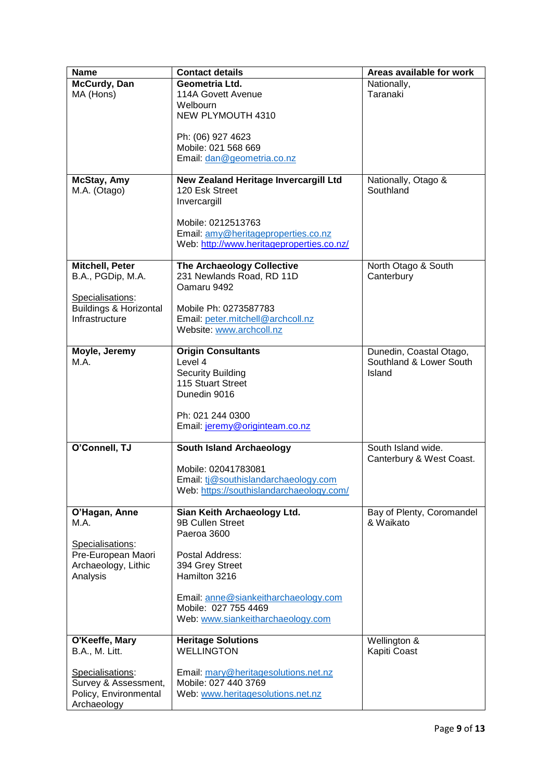| <b>Name</b>                       | <b>Contact details</b>                                  | Areas available for work          |
|-----------------------------------|---------------------------------------------------------|-----------------------------------|
| McCurdy, Dan                      | Geometria Ltd.                                          | Nationally,                       |
| MA (Hons)                         | 114A Govett Avenue                                      | Taranaki                          |
|                                   | Welbourn                                                |                                   |
|                                   | NEW PLYMOUTH 4310                                       |                                   |
|                                   | Ph: (06) 927 4623                                       |                                   |
|                                   | Mobile: 021 568 669                                     |                                   |
|                                   | Email: dan@geometria.co.nz                              |                                   |
|                                   |                                                         |                                   |
| McStay, Amy                       | New Zealand Heritage Invercargill Ltd                   | Nationally, Otago &               |
| M.A. (Otago)                      | 120 Esk Street                                          | Southland                         |
|                                   | Invercargill                                            |                                   |
|                                   |                                                         |                                   |
|                                   | Mobile: 0212513763                                      |                                   |
|                                   | Email: amy@heritageproperties.co.nz                     |                                   |
|                                   | Web: http://www.heritageproperties.co.nz/               |                                   |
| Mitchell, Peter                   |                                                         |                                   |
| B.A., PGDip, M.A.                 | The Archaeology Collective<br>231 Newlands Road, RD 11D | North Otago & South<br>Canterbury |
|                                   | Oamaru 9492                                             |                                   |
| Specialisations:                  |                                                         |                                   |
| <b>Buildings &amp; Horizontal</b> | Mobile Ph: 0273587783                                   |                                   |
| Infrastructure                    | Email: peter.mitchell@archcoll.nz                       |                                   |
|                                   | Website: www.archcoll.nz                                |                                   |
|                                   |                                                         |                                   |
| Moyle, Jeremy                     | <b>Origin Consultants</b>                               | Dunedin, Coastal Otago,           |
| M.A.                              | Level 4                                                 | Southland & Lower South           |
|                                   | <b>Security Building</b>                                | Island                            |
|                                   | 115 Stuart Street                                       |                                   |
|                                   | Dunedin 9016                                            |                                   |
|                                   |                                                         |                                   |
|                                   | Ph: 021 244 0300                                        |                                   |
|                                   | Email: jeremy@originteam.co.nz                          |                                   |
| O'Connell, TJ                     | <b>South Island Archaeology</b>                         | South Island wide.                |
|                                   |                                                         | Canterbury & West Coast.          |
|                                   | Mobile: 02041783081                                     |                                   |
|                                   | Email: tj@southislandarchaeology.com                    |                                   |
|                                   | Web: https://southislandarchaeology.com/                |                                   |
| O'Hagan, Anne                     | Sian Keith Archaeology Ltd.                             | Bay of Plenty, Coromandel         |
| M.A.                              | 9B Cullen Street                                        | & Waikato                         |
|                                   | Paeroa 3600                                             |                                   |
| Specialisations:                  |                                                         |                                   |
| Pre-European Maori                | Postal Address:                                         |                                   |
| Archaeology, Lithic               | 394 Grey Street                                         |                                   |
| Analysis                          | Hamilton 3216                                           |                                   |
|                                   |                                                         |                                   |
|                                   | Email: anne@siankeitharchaeology.com                    |                                   |
|                                   | Mobile: 027 755 4469                                    |                                   |
|                                   | Web: www.siankeitharchaeology.com                       |                                   |
| O'Keeffe, Mary                    | <b>Heritage Solutions</b>                               | Wellington &                      |
| <b>B.A., M. Litt.</b>             | <b>WELLINGTON</b>                                       | Kapiti Coast                      |
|                                   |                                                         |                                   |
| Specialisations:                  | Email: mary@heritagesolutions.net.nz                    |                                   |
| Survey & Assessment,              | Mobile: 027 440 3769                                    |                                   |
| Policy, Environmental             | Web: www.heritagesolutions.net.nz                       |                                   |
| Archaeology                       |                                                         |                                   |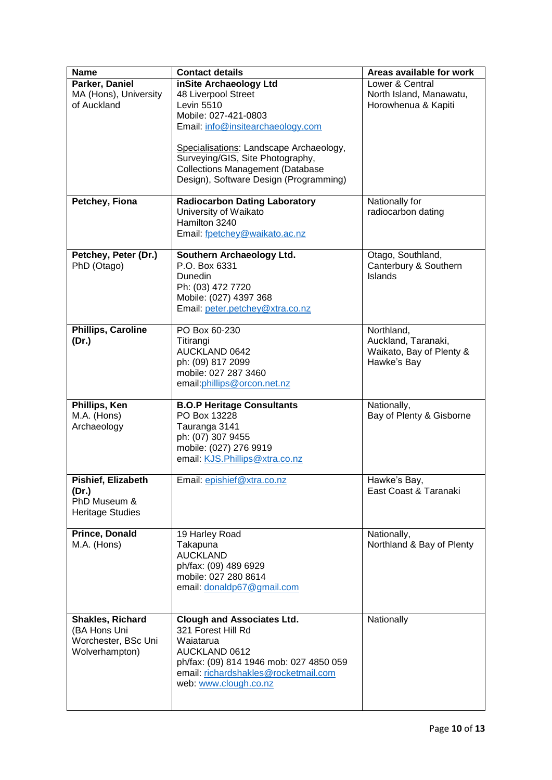| <b>Name</b>                                                               | <b>Contact details</b>                                                                                                                                                                            | Areas available for work                                                     |
|---------------------------------------------------------------------------|---------------------------------------------------------------------------------------------------------------------------------------------------------------------------------------------------|------------------------------------------------------------------------------|
| Parker, Daniel<br>MA (Hons), University<br>of Auckland                    | inSite Archaeology Ltd<br>48 Liverpool Street<br><b>Levin 5510</b><br>Mobile: 027-421-0803<br>Email: info@insitearchaeology.com                                                                   | Lower & Central<br>North Island, Manawatu,<br>Horowhenua & Kapiti            |
|                                                                           | Specialisations: Landscape Archaeology,<br>Surveying/GIS, Site Photography,<br><b>Collections Management (Database</b><br>Design), Software Design (Programming)                                  |                                                                              |
| Petchey, Fiona                                                            | <b>Radiocarbon Dating Laboratory</b><br>University of Waikato<br>Hamilton 3240<br>Email: fpetchey@waikato.ac.nz                                                                                   | Nationally for<br>radiocarbon dating                                         |
| Petchey, Peter (Dr.)<br>PhD (Otago)                                       | Southern Archaeology Ltd.<br>P.O. Box 6331<br>Dunedin<br>Ph: (03) 472 7720<br>Mobile: (027) 4397 368<br>Email: peter.petchey@xtra.co.nz                                                           | Otago, Southland,<br>Canterbury & Southern<br>Islands                        |
| <b>Phillips, Caroline</b><br>(Dr.)                                        | PO Box 60-230<br>Titirangi<br>AUCKLAND 0642<br>ph: (09) 817 2099<br>mobile: 027 287 3460<br>email: phillips@orcon.net.nz                                                                          | Northland,<br>Auckland, Taranaki,<br>Waikato, Bay of Plenty &<br>Hawke's Bay |
| Phillips, Ken<br>M.A. (Hons)<br>Archaeology                               | <b>B.O.P Heritage Consultants</b><br>PO Box 13228<br>Tauranga 3141<br>ph: (07) 307 9455<br>mobile: (027) 276 9919<br>email: KJS.Phillips@xtra.co.nz                                               | Nationally,<br>Bay of Plenty & Gisborne                                      |
| Pishief, Elizabeth<br>(Dr.)<br>PhD Museum &<br><b>Heritage Studies</b>    | Email: epishief@xtra.co.nz                                                                                                                                                                        | Hawke's Bay,<br>East Coast & Taranaki                                        |
| <b>Prince, Donald</b><br>M.A. (Hons)                                      | 19 Harley Road<br>Takapuna<br><b>AUCKLAND</b><br>ph/fax: (09) 489 6929<br>mobile: 027 280 8614<br>email: donaldp67@gmail.com                                                                      | Nationally,<br>Northland & Bay of Plenty                                     |
| Shakles, Richard<br>(BA Hons Uni<br>Worchester, BSc Uni<br>Wolverhampton) | <b>Clough and Associates Ltd.</b><br>321 Forest Hill Rd<br>Waiatarua<br>AUCKLAND 0612<br>ph/fax: (09) 814 1946 mob: 027 4850 059<br>email: richardshakles@rocketmail.com<br>web: www.clough.co.nz | Nationally                                                                   |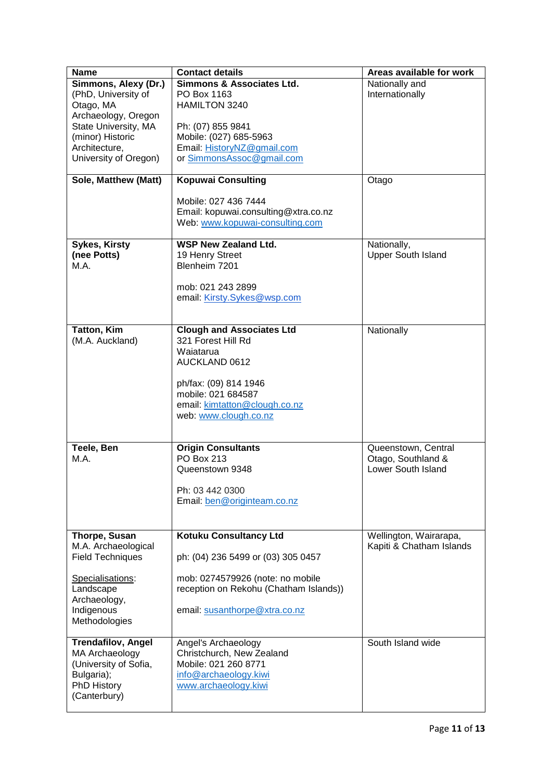| <b>Name</b>                                                     | <b>Contact details</b>                                                                          | Areas available for work                           |
|-----------------------------------------------------------------|-------------------------------------------------------------------------------------------------|----------------------------------------------------|
| Simmons, Alexy (Dr.)<br>(PhD, University of<br>Otago, MA        | <b>Simmons &amp; Associates Ltd.</b><br>PO Box 1163<br>HAMILTON 3240                            | Nationally and<br>Internationally                  |
| Archaeology, Oregon<br>State University, MA<br>(minor) Historic | Ph: (07) 855 9841<br>Mobile: (027) 685-5963                                                     |                                                    |
| Architecture,<br>University of Oregon)                          | Email: HistoryNZ@gmail.com<br>or SimmonsAssoc@gmail.com                                         |                                                    |
| Sole, Matthew (Matt)                                            | <b>Kopuwai Consulting</b>                                                                       | Otago                                              |
|                                                                 | Mobile: 027 436 7444<br>Email: kopuwai.consulting@xtra.co.nz<br>Web: www.kopuwai-consulting.com |                                                    |
| <b>Sykes, Kirsty</b>                                            | <b>WSP New Zealand Ltd.</b>                                                                     | Nationally,                                        |
| (nee Potts)                                                     | 19 Henry Street                                                                                 | <b>Upper South Island</b>                          |
| M.A.                                                            | Blenheim 7201                                                                                   |                                                    |
|                                                                 | mob: 021 243 2899<br>email: Kirsty.Sykes@wsp.com                                                |                                                    |
|                                                                 |                                                                                                 |                                                    |
| <b>Tatton, Kim</b><br>(M.A. Auckland)                           | <b>Clough and Associates Ltd</b><br>321 Forest Hill Rd<br>Waiatarua                             | Nationally                                         |
|                                                                 | AUCKLAND 0612                                                                                   |                                                    |
|                                                                 | ph/fax: (09) 814 1946<br>mobile: 021 684587                                                     |                                                    |
|                                                                 | email: kimtatton@clough.co.nz                                                                   |                                                    |
|                                                                 | web: www.clough.co.nz                                                                           |                                                    |
|                                                                 |                                                                                                 |                                                    |
| Teele, Ben                                                      | <b>Origin Consultants</b><br>PO Box 213                                                         | Queenstown, Central                                |
| M.A.                                                            | Queenstown 9348                                                                                 | Otago, Southland &<br>Lower South Island           |
|                                                                 | Ph: 03 442 0300                                                                                 |                                                    |
|                                                                 | Email: ben@originteam.co.nz                                                                     |                                                    |
|                                                                 |                                                                                                 |                                                    |
| Thorpe, Susan<br>M.A. Archaeological                            | <b>Kotuku Consultancy Ltd</b>                                                                   | Wellington, Wairarapa,<br>Kapiti & Chatham Islands |
| <b>Field Techniques</b>                                         | ph: (04) 236 5499 or (03) 305 0457                                                              |                                                    |
| Specialisations:<br>Landscape                                   | mob: 0274579926 (note: no mobile<br>reception on Rekohu (Chatham Islands))                      |                                                    |
| Archaeology,                                                    |                                                                                                 |                                                    |
| Indigenous<br>Methodologies                                     | email: susanthorpe@xtra.co.nz                                                                   |                                                    |
| <b>Trendafilov, Angel</b>                                       | Angel's Archaeology                                                                             | South Island wide                                  |
| MA Archaeology                                                  | Christchurch, New Zealand<br>Mobile: 021 260 8771                                               |                                                    |
| (University of Sofia,<br>Bulgaria);                             | info@archaeology.kiwi                                                                           |                                                    |
| PhD History                                                     | www.archaeology.kiwi                                                                            |                                                    |
| (Canterbury)                                                    |                                                                                                 |                                                    |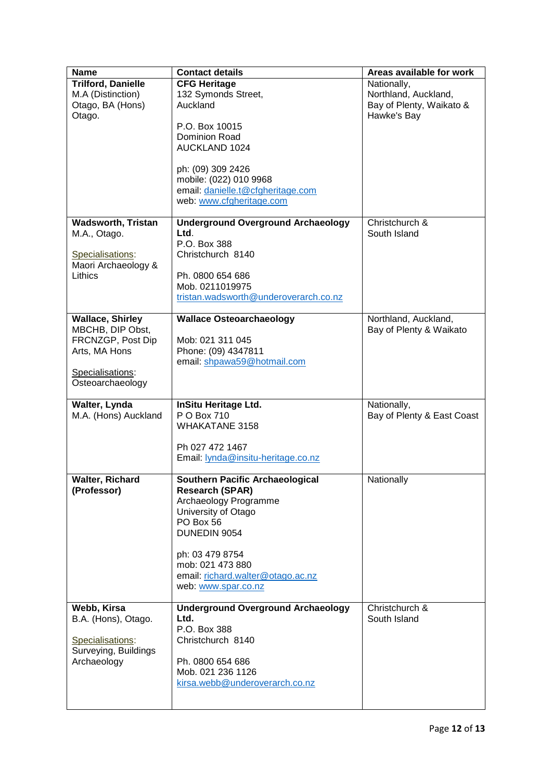| <b>Name</b>                                                                  | <b>Contact details</b>                                                                                                                                           | Areas available for work                                                       |
|------------------------------------------------------------------------------|------------------------------------------------------------------------------------------------------------------------------------------------------------------|--------------------------------------------------------------------------------|
| <b>Trilford, Danielle</b><br>M.A (Distinction)<br>Otago, BA (Hons)<br>Otago. | <b>CFG Heritage</b><br>132 Symonds Street,<br>Auckland                                                                                                           | Nationally,<br>Northland, Auckland,<br>Bay of Plenty, Waikato &<br>Hawke's Bay |
|                                                                              | P.O. Box 10015<br><b>Dominion Road</b><br><b>AUCKLAND 1024</b>                                                                                                   |                                                                                |
|                                                                              | ph: (09) 309 2426<br>mobile: (022) 010 9968<br>email: danielle.t@cfgheritage.com<br>web: www.cfgheritage.com                                                     |                                                                                |
| <b>Wadsworth, Tristan</b>                                                    | <b>Underground Overground Archaeology</b>                                                                                                                        | Christchurch &                                                                 |
| M.A., Otago.<br>Specialisations:<br>Maori Archaeology &                      | Ltd.<br>P.O. Box 388<br>Christchurch 8140                                                                                                                        | South Island                                                                   |
| Lithics                                                                      | Ph. 0800 654 686<br>Mob. 0211019975<br>tristan.wadsworth@underoverarch.co.nz                                                                                     |                                                                                |
| <b>Wallace, Shirley</b>                                                      | <b>Wallace Osteoarchaeology</b>                                                                                                                                  | Northland, Auckland,                                                           |
| MBCHB, DIP Obst,<br>FRCNZGP, Post Dip<br>Arts, MA Hons                       | Mob: 021 311 045<br>Phone: (09) 4347811<br>email: shpawa59@hotmail.com                                                                                           | Bay of Plenty & Waikato                                                        |
| Specialisations:<br>Osteoarchaeology                                         |                                                                                                                                                                  |                                                                                |
| Walter, Lynda<br>M.A. (Hons) Auckland                                        | <b>InSitu Heritage Ltd.</b><br>P O Box 710<br><b>WHAKATANE 3158</b>                                                                                              | Nationally,<br>Bay of Plenty & East Coast                                      |
|                                                                              | Ph 027 472 1467<br>Email: lynda@insitu-heritage.co.nz                                                                                                            |                                                                                |
| <b>Walter, Richard</b><br>(Professor)                                        | <b>Southern Pacific Archaeological</b><br><b>Research (SPAR)</b><br>Archaeology Programme<br>University of Otago<br>PO Box 56<br>DUNEDIN 9054<br>ph: 03 479 8754 | Nationally                                                                     |
|                                                                              | mob: 021 473 880<br>email: richard.walter@otago.ac.nz<br>web: www.spar.co.nz                                                                                     |                                                                                |
| Webb, Kirsa                                                                  | <b>Underground Overground Archaeology</b>                                                                                                                        | Christchurch &                                                                 |
| B.A. (Hons), Otago.                                                          | Ltd.                                                                                                                                                             | South Island                                                                   |
| Specialisations:<br>Surveying, Buildings                                     | P.O. Box 388<br>Christchurch 8140                                                                                                                                |                                                                                |
| Archaeology                                                                  | Ph. 0800 654 686<br>Mob. 021 236 1126                                                                                                                            |                                                                                |
|                                                                              | kirsa.webb@underoverarch.co.nz                                                                                                                                   |                                                                                |